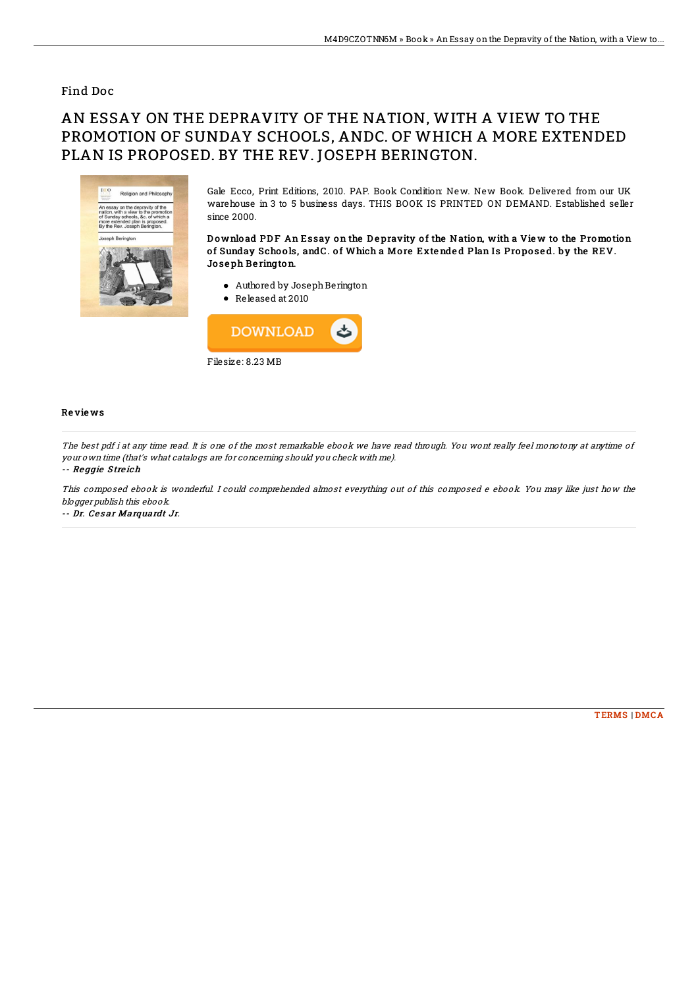## Find Doc

## AN ESSAY ON THE DEPRAVITY OF THE NATION, WITH A VIEW TO THE PROMOTION OF SUNDAY SCHOOLS, ANDC. OF WHICH A MORE EXTENDED PLAN IS PROPOSED. BY THE REV. JOSEPH BERINGTON.



Gale Ecco, Print Editions, 2010. PAP. Book Condition: New. New Book. Delivered from our UK warehouse in 3 to 5 business days. THIS BOOK IS PRINTED ON DEMAND. Established seller since 2000.

Download PDF An Essay on the Depravity of the Nation, with a View to the Promotion of Sunday Schools, and C. of Which a More Extended Plan Is Proposed. by the REV. Jo se ph Be rington.

- Authored by Joseph Berington Released at 2010
- 



## Re vie ws

The best pdf i at any time read. It is one of the most remarkable ebook we have read through. You wont really feel monotony at anytime of your own time (that's what catalogs are for concerning should you check with me). -- Re ggie S tre ich

This composed ebook is wonderful. I could comprehended almost everything out of this composed <sup>e</sup> ebook. You may like just how the blogger publish this ebook.

-- Dr. Cesar Marquardt Jr.